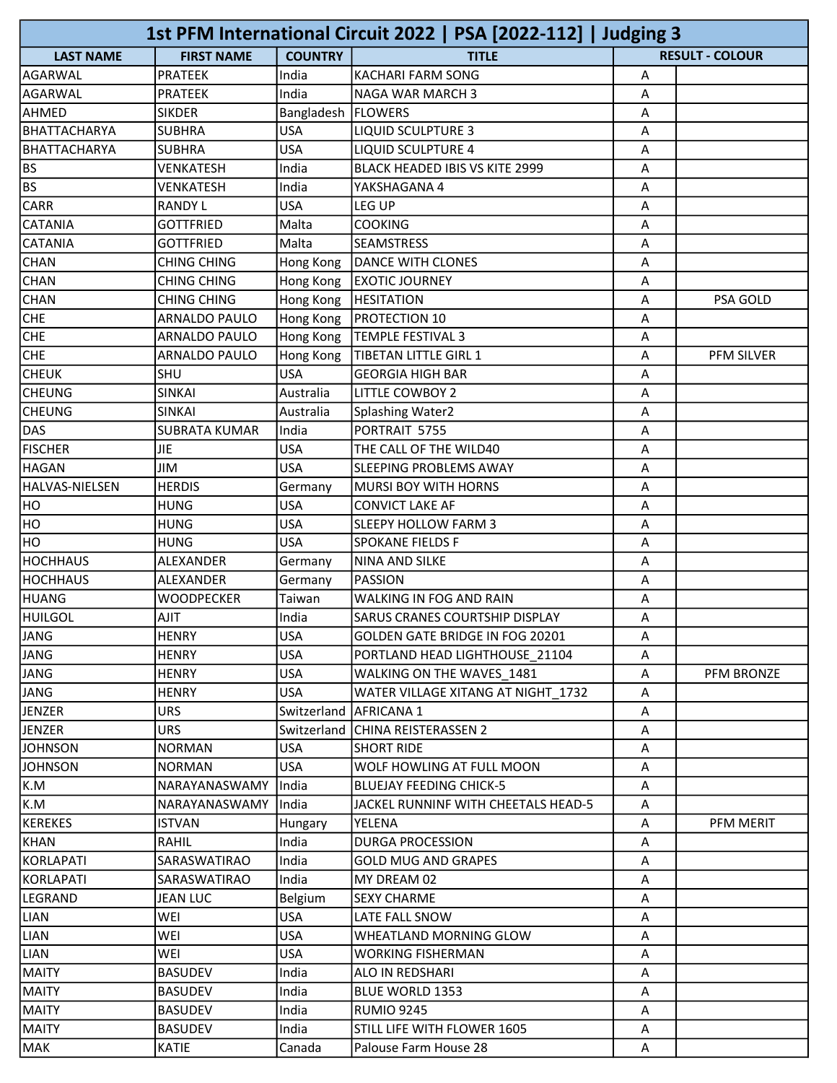|                  |                              |                          | 1st PFM International Circuit 2022   PSA [2022-112]   Judging 3 |        |                        |
|------------------|------------------------------|--------------------------|-----------------------------------------------------------------|--------|------------------------|
| <b>LAST NAME</b> | <b>FIRST NAME</b>            | <b>COUNTRY</b>           | <b>TITLE</b>                                                    |        | <b>RESULT - COLOUR</b> |
| AGARWAL          | <b>PRATEEK</b>               | India                    | <b>KACHARI FARM SONG</b>                                        | Α      |                        |
| <b>AGARWAL</b>   | <b>PRATEEK</b>               | India                    | NAGA WAR MARCH 3                                                | A      |                        |
| AHMED            | <b>SIKDER</b>                | Bangladesh   FLOWERS     |                                                                 | A      |                        |
| BHATTACHARYA     | <b>SUBHRA</b>                | <b>USA</b>               | <b>LIQUID SCULPTURE 3</b>                                       | А      |                        |
| BHATTACHARYA     | <b>SUBHRA</b>                | <b>USA</b>               | <b>LIQUID SCULPTURE 4</b>                                       | А      |                        |
| BS.              | VENKATESH                    | India                    | <b>BLACK HEADED IBIS VS KITE 2999</b>                           | Α      |                        |
| BS               | VENKATESH                    | India                    | YAKSHAGANA 4                                                    | A      |                        |
| <b>CARR</b>      | <b>RANDY L</b>               | <b>USA</b>               | LEG UP                                                          | А      |                        |
| CATANIA          | <b>GOTTFRIED</b>             | Malta                    | <b>COOKING</b>                                                  | А      |                        |
| <b>CATANIA</b>   | <b>GOTTFRIED</b>             | Malta                    | <b>SEAMSTRESS</b>                                               | А      |                        |
| <b>CHAN</b>      | <b>CHING CHING</b>           | Hong Kong                | <b>DANCE WITH CLONES</b>                                        | А      |                        |
| <b>CHAN</b>      | <b>CHING CHING</b>           | Hong Kong                | <b>EXOTIC JOURNEY</b>                                           | А      |                        |
| <b>CHAN</b>      | <b>CHING CHING</b>           | Hong Kong                | <b>HESITATION</b>                                               | Α      | PSA GOLD               |
| <b>CHE</b>       | ARNALDO PAULO                | Hong Kong                | PROTECTION 10                                                   | A      |                        |
| <b>CHE</b>       | ARNALDO PAULO                | Hong Kong                | <b>TEMPLE FESTIVAL 3</b>                                        | А      |                        |
| <b>CHE</b>       | ARNALDO PAULO                | Hong Kong                | TIBETAN LITTLE GIRL 1                                           | А      | PFM SILVER             |
| снеик            | SHU                          | <b>USA</b>               | <b>GEORGIA HIGH BAR</b>                                         | Α      |                        |
| <b>CHEUNG</b>    | <b>SINKAI</b>                | Australia                | <b>LITTLE COWBOY 2</b>                                          | Α      |                        |
| <b>CHEUNG</b>    | <b>SINKAI</b>                | Australia                | Splashing Water2                                                | А      |                        |
| DAS              | <b>SUBRATA KUMAR</b>         | India                    | PORTRAIT 5755                                                   | А      |                        |
| <b>FISCHER</b>   | <b>JIE</b>                   | <b>USA</b>               | THE CALL OF THE WILD40                                          | Α      |                        |
| <b>HAGAN</b>     | JIM                          | <b>USA</b>               | SLEEPING PROBLEMS AWAY                                          | А      |                        |
| HALVAS-NIELSEN   | <b>HERDIS</b>                | Germany                  | <b>MURSI BOY WITH HORNS</b>                                     | А      |                        |
| HO               | <b>HUNG</b>                  | <b>USA</b>               | <b>CONVICT LAKE AF</b>                                          | А      |                        |
| HO               | <b>HUNG</b>                  | <b>USA</b>               | SLEEPY HOLLOW FARM 3                                            | Α      |                        |
| HO               | <b>HUNG</b>                  | <b>USA</b>               | SPOKANE FIELDS F                                                | А      |                        |
| HOCHHAUS         | ALEXANDER                    | Germany                  | <b>NINA AND SILKE</b>                                           | А      |                        |
| <b>HOCHHAUS</b>  | ALEXANDER                    | Germany                  | PASSION                                                         | А      |                        |
| HUANG            | WOODPECKER                   | Taiwan                   | WALKING IN FOG AND RAIN                                         | А      |                        |
| HUILGOL          | <b>AJIT</b>                  | India                    | SARUS CRANES COURTSHIP DISPLAY                                  | Α      |                        |
| JANG             | <b>HENRY</b>                 | USA                      | GOLDEN GATE BRIDGE IN FOG 20201                                 | A      |                        |
| JANG             | <b>HENRY</b>                 | <b>USA</b>               | PORTLAND HEAD LIGHTHOUSE 21104                                  | A      |                        |
| JANG             |                              |                          |                                                                 |        |                        |
| JANG             | <b>HENRY</b><br><b>HENRY</b> | <b>USA</b><br><b>USA</b> | WALKING ON THE WAVES 1481<br>WATER VILLAGE XITANG AT NIGHT 1732 | А<br>А | PFM BRONZE             |
|                  |                              |                          |                                                                 |        |                        |
| JENZER<br>JENZER | <b>URS</b><br><b>URS</b>     |                          | Switzerland   AFRICANA 1                                        | Α      |                        |
| <b>JOHNSON</b>   | <b>NORMAN</b>                | <b>USA</b>               | Switzerland CHINA REISTERASSEN 2<br><b>SHORT RIDE</b>           | A<br>A |                        |
| <b>JOHNSON</b>   |                              | <b>USA</b>               | WOLF HOWLING AT FULL MOON                                       |        |                        |
| K.M              | <b>NORMAN</b>                | India                    |                                                                 | А      |                        |
|                  | NARAYANASWAMY                |                          | <b>BLUEJAY FEEDING CHICK-5</b>                                  | А      |                        |
| K.M<br>KEREKES   | <b>NARAYANASWAMY</b>         | India                    | JACKEL RUNNINF WITH CHEETALS HEAD-5                             | A      |                        |
|                  | <b>ISTVAN</b>                | <b>Hungary</b>           | YELENA                                                          | Α      | PFM MERIT              |
| KHAN             | RAHIL                        | India                    | <b>DURGA PROCESSION</b>                                         | A      |                        |
| KORLAPATI        | SARASWATIRAO                 | India                    | <b>GOLD MUG AND GRAPES</b>                                      | А      |                        |
| KORLAPATI        | SARASWATIRAO                 | India                    | MY DREAM 02                                                     | Α      |                        |
| LEGRAND          | <b>JEAN LUC</b>              | Belgium                  | <b>SEXY CHARME</b>                                              | A      |                        |
| LIAN             | WEI                          | <b>USA</b>               | LATE FALL SNOW                                                  | А      |                        |
| LIAN             | WEI                          | <b>USA</b>               | WHEATLAND MORNING GLOW                                          | Α      |                        |
| LIAN             | WEI                          | <b>USA</b>               | <b>WORKING FISHERMAN</b>                                        | A      |                        |
| MAITY            | <b>BASUDEV</b>               | India                    | ALO IN REDSHARI                                                 | Α      |                        |
| <b>MAITY</b>     | <b>BASUDEV</b>               | India                    | BLUE WORLD 1353                                                 | А      |                        |
| <b>MAITY</b>     | <b>BASUDEV</b>               | India                    | <b>RUMIO 9245</b>                                               | Α      |                        |
| MAITY            | <b>BASUDEV</b>               | India                    | STILL LIFE WITH FLOWER 1605                                     | A      |                        |
| MAK              | <b>KATIE</b>                 | Canada                   | Palouse Farm House 28                                           | А      |                        |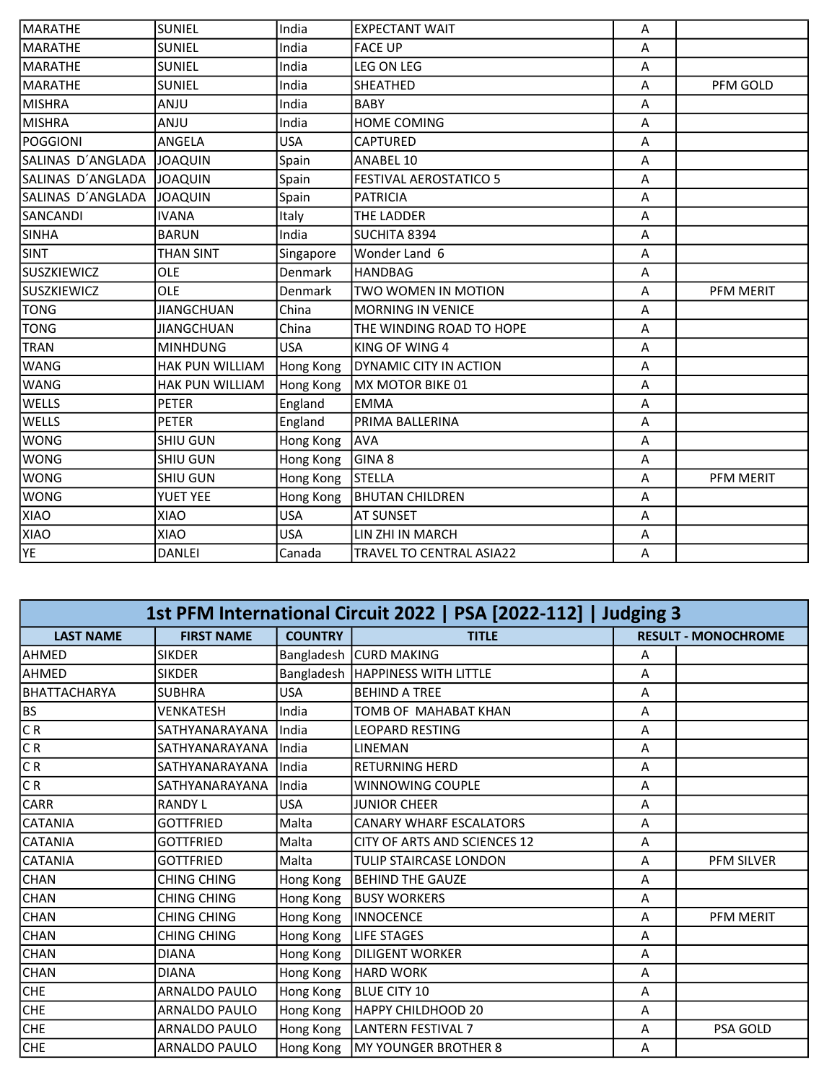| MARATHE            | <b>SUNIEL</b>     | India      | <b>EXPECTANT WAIT</b>           | A |           |
|--------------------|-------------------|------------|---------------------------------|---|-----------|
| MARATHE            | <b>SUNIEL</b>     | India      | <b>FACE UP</b>                  | Α |           |
| MARATHE            | <b>SUNIEL</b>     | India      | LEG ON LEG                      | Α |           |
| <b>MARATHE</b>     | <b>SUNIEL</b>     | India      | <b>SHEATHED</b>                 | Α | PFM GOLD  |
| MISHRA             | ANJU              | India      | <b>BABY</b>                     | A |           |
| <b>MISHRA</b>      | <b>ULIA</b>       | India      | <b>HOME COMING</b>              | A |           |
| <b>POGGIONI</b>    | ANGELA            | <b>USA</b> | <b>CAPTURED</b>                 | A |           |
| SALINAS D'ANGLADA  | <b>JOAQUIN</b>    | Spain      | ANABEL 10                       | A |           |
| SALINAS D'ANGLADA  | <b>JOAQUIN</b>    | Spain      | <b>FESTIVAL AEROSTATICO 5</b>   | Α |           |
| SALINAS D'ANGLADA  | <b>JOAQUIN</b>    | Spain      | <b>PATRICIA</b>                 | A |           |
| SANCANDI           | <b>IVANA</b>      | Italy      | THE LADDER                      | А |           |
| <b>SINHA</b>       | <b>BARUN</b>      | India      | SUCHITA 8394                    | A |           |
| <b>SINT</b>        | THAN SINT         | Singapore  | Wonder Land 6                   | Α |           |
| <b>SUSZKIEWICZ</b> | <b>OLE</b>        | Denmark    | <b>HANDBAG</b>                  | A |           |
| <b>SUSZKIEWICZ</b> | OLE               | Denmark    | TWO WOMEN IN MOTION             | Α | PFM MERIT |
| TONG               | <b>JIANGCHUAN</b> | China      | <b>MORNING IN VENICE</b>        | A |           |
| <b>TONG</b>        | <b>JIANGCHUAN</b> | China      | THE WINDING ROAD TO HOPE        | Α |           |
| <b>TRAN</b>        | <b>MINHDUNG</b>   | <b>USA</b> | KING OF WING 4                  | A |           |
| <b>WANG</b>        | HAK PUN WILLIAM   | Hong Kong  | <b>DYNAMIC CITY IN ACTION</b>   | Α |           |
| WANG               | HAK PUN WILLIAM   | Hong Kong  | MX MOTOR BIKE 01                | Α |           |
| <b>WELLS</b>       | <b>PETER</b>      | England    | lemma                           | A |           |
| <b>WELLS</b>       | <b>PETER</b>      | England    | PRIMA BALLERINA                 | А |           |
| <b>WONG</b>        | SHIU GUN          | Hong Kong  | <b>AVA</b>                      | A |           |
| <b>WONG</b>        | SHIU GUN          | Hong Kong  | GINA <sub>8</sub>               | Α |           |
| <b>WONG</b>        | <b>SHIU GUN</b>   | Hong Kong  | <b>STELLA</b>                   | A | PFM MERIT |
| <b>WONG</b>        | YUET YEE          | Hong Kong  | <b>BHUTAN CHILDREN</b>          | Α |           |
| XIAO               | XIAO              | <b>USA</b> | <b>AT SUNSET</b>                | А |           |
| <b>XIAO</b>        | <b>XIAO</b>       | <b>USA</b> | LIN ZHI IN MARCH                | Α |           |
| YE <sup>1</sup>    | <b>DANLEI</b>     | Canada     | <b>TRAVEL TO CENTRAL ASIA22</b> | Α |           |

| 1st PFM International Circuit 2022   PSA [2022-112]   Judging 3 |                    |                |                                     |   |                            |  |
|-----------------------------------------------------------------|--------------------|----------------|-------------------------------------|---|----------------------------|--|
| <b>LAST NAME</b>                                                | <b>FIRST NAME</b>  | <b>COUNTRY</b> | <b>TITLE</b>                        |   | <b>RESULT - MONOCHROME</b> |  |
| <b>AHMED</b>                                                    | <b>SIKDER</b>      |                | Bangladesh   CURD MAKING            | А |                            |  |
| AHMED                                                           | <b>SIKDER</b>      |                | Bangladesh   HAPPINESS WITH LITTLE  | А |                            |  |
| <b>BHATTACHARYA</b>                                             | <b>SUBHRA</b>      | USA            | <b>BEHIND A TREE</b>                | Α |                            |  |
| <b>BS</b>                                                       | <b>VENKATESH</b>   | India          | TOMB OF MAHABAT KHAN                | A |                            |  |
| CR                                                              | SATHYANARAYANA     | India          | <b>LEOPARD RESTING</b>              | A |                            |  |
| CR                                                              | SATHYANARAYANA     | India          | LINEMAN                             | A |                            |  |
| CR                                                              | SATHYANARAYANA     | India          | <b>RETURNING HERD</b>               | Α |                            |  |
| C R                                                             | SATHYANARAYANA     | India          | <b>WINNOWING COUPLE</b>             | Α |                            |  |
| CARR                                                            | <b>RANDY L</b>     | USA            | <b>JUNIOR CHEER</b>                 | A |                            |  |
| <b>CATANIA</b>                                                  | <b>GOTTFRIED</b>   | Malta          | <b>CANARY WHARF ESCALATORS</b>      | Α |                            |  |
| <b>CATANIA</b>                                                  | <b>GOTTFRIED</b>   | Malta          | <b>CITY OF ARTS AND SCIENCES 12</b> | A |                            |  |
| <b>CATANIA</b>                                                  | <b>GOTTFRIED</b>   | Malta          | TULIP STAIRCASE LONDON              | Α | PFM SILVER                 |  |
| <b>CHAN</b>                                                     | <b>CHING CHING</b> | Hong Kong      | <b>BEHIND THE GAUZE</b>             | А |                            |  |
| <b>CHAN</b>                                                     | <b>CHING CHING</b> | Hong Kong      | <b>BUSY WORKERS</b>                 | Α |                            |  |
| <b>CHAN</b>                                                     | <b>CHING CHING</b> | Hong Kong      | <b>INNOCENCE</b>                    | Α | PFM MERIT                  |  |
| <b>CHAN</b>                                                     | <b>CHING CHING</b> | Hong Kong      | <b>LIFE STAGES</b>                  | Α |                            |  |
| <b>CHAN</b>                                                     | <b>DIANA</b>       | Hong Kong      | <b>DILIGENT WORKER</b>              | Α |                            |  |
| <b>CHAN</b>                                                     | <b>DIANA</b>       | Hong Kong      | <b>HARD WORK</b>                    | А |                            |  |
| <b>CHE</b>                                                      | ARNALDO PAULO      | Hong Kong      | BLUE CITY 10                        | А |                            |  |
| <b>CHE</b>                                                      | ARNALDO PAULO      | Hong Kong      | HAPPY CHILDHOOD 20                  | A |                            |  |
| <b>CHE</b>                                                      | ARNALDO PAULO      | Hong Kong      | LANTERN FESTIVAL 7                  | Α | PSA GOLD                   |  |
| <b>CHE</b>                                                      | ARNALDO PAULO      | Hong Kong      | <b>MY YOUNGER BROTHER 8</b>         | A |                            |  |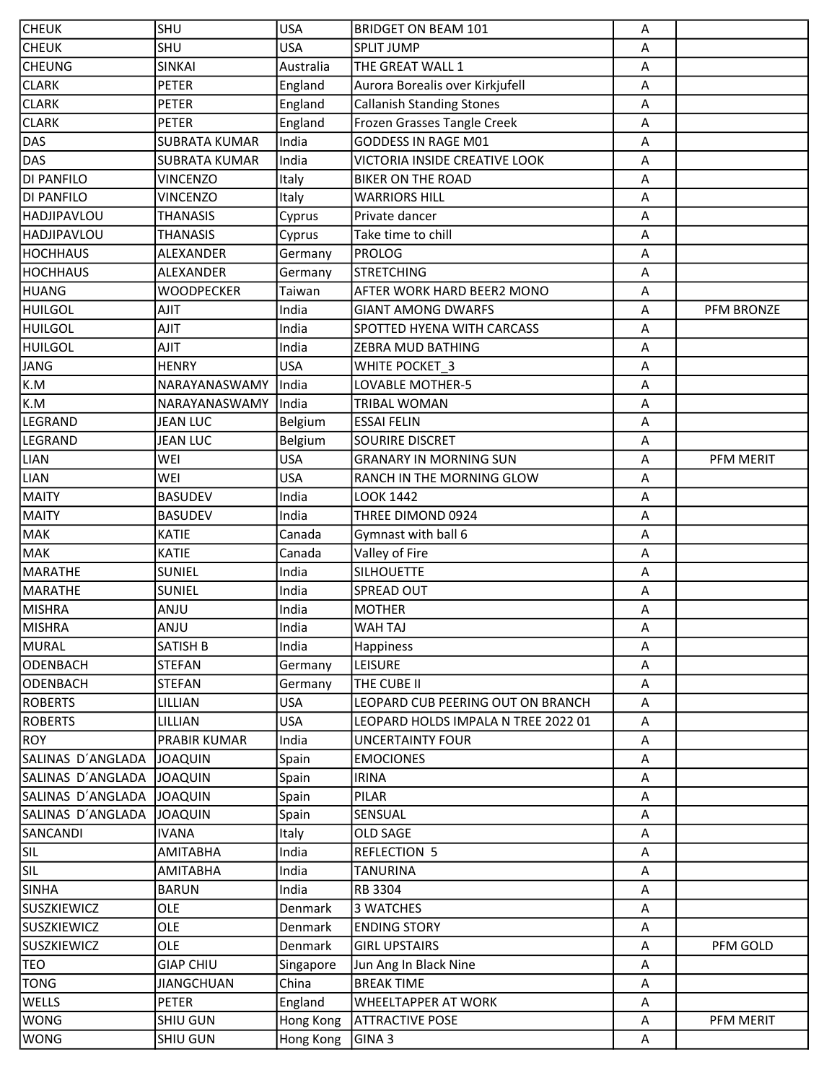| <b>CHEUK</b>       | <b>SHU</b>           | <b>USA</b> | <b>BRIDGET ON BEAM 101</b>          | Α           |            |
|--------------------|----------------------|------------|-------------------------------------|-------------|------------|
| <b>CHEUK</b>       | <b>SHU</b>           | <b>USA</b> | <b>SPLIT JUMP</b>                   | A           |            |
| <b>CHEUNG</b>      | SINKAI               | Australia  | THE GREAT WALL 1                    | A           |            |
| <b>CLARK</b>       | <b>PETER</b>         | England    | Aurora Borealis over Kirkjufell     | Α           |            |
| <b>CLARK</b>       | PETER                | England    | <b>Callanish Standing Stones</b>    | Α           |            |
| <b>CLARK</b>       | <b>PETER</b>         | England    | Frozen Grasses Tangle Creek         | A           |            |
| <b>DAS</b>         | <b>SUBRATA KUMAR</b> | India      | GODDESS IN RAGE M01                 | Α           |            |
| <b>DAS</b>         | <b>SUBRATA KUMAR</b> | India      | VICTORIA INSIDE CREATIVE LOOK       | Α           |            |
| <b>DI PANFILO</b>  | <b>VINCENZO</b>      | Italy      | <b>BIKER ON THE ROAD</b>            | Α           |            |
| <b>DI PANFILO</b>  | <b>VINCENZO</b>      | Italy      | <b>WARRIORS HILL</b>                | Α           |            |
| <b>HADJIPAVLOU</b> | <b>THANASIS</b>      | Cyprus     | Private dancer                      | Α           |            |
| <b>HADJIPAVLOU</b> | <b>THANASIS</b>      | Cyprus     | Take time to chill                  | Α           |            |
| <b>HOCHHAUS</b>    | ALEXANDER            | Germany    | <b>PROLOG</b>                       | Α           |            |
| <b>HOCHHAUS</b>    | ALEXANDER            | Germany    | <b>STRETCHING</b>                   | A           |            |
| <b>HUANG</b>       | WOODPECKER           | Taiwan     | AFTER WORK HARD BEER2 MONO          | Α           |            |
| <b>HUILGOL</b>     | <b>AJIT</b>          | India      | <b>GIANT AMONG DWARFS</b>           | A           | PFM BRONZE |
| <b>HUILGOL</b>     | AJIT                 | India      | SPOTTED HYENA WITH CARCASS          | Α           |            |
| <b>HUILGOL</b>     | <b>AJIT</b>          | India      | <b>ZEBRA MUD BATHING</b>            | Α           |            |
| <b>JANG</b>        | <b>HENRY</b>         | <b>USA</b> | WHITE POCKET 3                      | Α           |            |
| K.M                | NARAYANASWAMY        | India      | LOVABLE MOTHER-5                    | Α           |            |
| K.M                | NARAYANASWAMY        | India      | <b>TRIBAL WOMAN</b>                 | Α           |            |
| LEGRAND            | <b>JEAN LUC</b>      | Belgium    | <b>ESSAI FELIN</b>                  | Α           |            |
| <b>LEGRAND</b>     | <b>JEAN LUC</b>      | Belgium    | <b>SOURIRE DISCRET</b>              | Α           |            |
| <b>LIAN</b>        | WEI                  | <b>USA</b> | <b>GRANARY IN MORNING SUN</b>       | Α           | PFM MERIT  |
| <b>LIAN</b>        | WEI                  | <b>USA</b> | RANCH IN THE MORNING GLOW           | Α           |            |
| <b>MAITY</b>       | <b>BASUDEV</b>       | India      | LOOK 1442                           | A           |            |
| <b>MAITY</b>       | <b>BASUDEV</b>       | India      | THREE DIMOND 0924                   | Α           |            |
| MAK                | <b>KATIE</b>         | Canada     | Gymnast with ball 6                 | A           |            |
| MAK                | <b>KATIE</b>         | Canada     | Valley of Fire                      | A           |            |
| MARATHE            | <b>SUNIEL</b>        | India      | <b>SILHOUETTE</b>                   | Α           |            |
| MARATHE            | <b>SUNIEL</b>        | India      | SPREAD OUT                          | Α           |            |
| MISHRA             | ANJU                 | India      | <b>MOTHER</b>                       | Α           |            |
| MISHRA             | ANJU                 | India      | <b>WAHTAJ</b>                       | A           |            |
| MURAL              | <b>SATISH B</b>      | India      | Happiness                           | A           |            |
| ODENBACH           | <b>STEFAN</b>        | Germany    | <b>LEISURE</b>                      | A           |            |
| ODENBACH           | <b>STEFAN</b>        | Germany    | THE CUBE II                         | A           |            |
| <b>ROBERTS</b>     | LILLIAN              | <b>USA</b> | LEOPARD CUB PEERING OUT ON BRANCH   | Α           |            |
| <b>ROBERTS</b>     | LILLIAN              | <b>USA</b> | LEOPARD HOLDS IMPALA N TREE 2022 01 | A           |            |
| <b>ROY</b>         | PRABIR KUMAR         | India      | <b>UNCERTAINTY FOUR</b>             | A           |            |
| SALINAS D'ANGLADA  | <b>JOAQUIN</b>       | Spain      | <b>EMOCIONES</b>                    | A           |            |
| SALINAS D'ANGLADA  | <b>JOAQUIN</b>       | Spain      | <b>IRINA</b>                        | A           |            |
| SALINAS D'ANGLADA  | JOAQUIN              | Spain      | PILAR                               | A           |            |
| SALINAS D'ANGLADA  | <b>JOAQUIN</b>       | Spain      | SENSUAL                             | A           |            |
| SANCANDI           | <b>IVANA</b>         | Italy      | OLD SAGE                            | Α           |            |
| <b>SIL</b>         | <b>AMITABHA</b>      | India      | <b>REFLECTION 5</b>                 | Α           |            |
| <b>SIL</b>         | AMITABHA             | India      | <b>TANURINA</b>                     | A           |            |
| <b>SINHA</b>       | <b>BARUN</b>         | India      | RB 3304                             | $\mathsf A$ |            |
| <b>SUSZKIEWICZ</b> | OLE                  | Denmark    | 3 WATCHES                           | Α           |            |
| <b>SUSZKIEWICZ</b> | OLE                  | Denmark    | <b>ENDING STORY</b>                 | A           |            |
| <b>SUSZKIEWICZ</b> | OLE                  | Denmark    | <b>GIRL UPSTAIRS</b>                | A           | PFM GOLD   |
| <b>TEO</b>         | <b>GIAP CHIU</b>     | Singapore  | Jun Ang In Black Nine               | Α           |            |
| <b>TONG</b>        | <b>JIANGCHUAN</b>    | China      | <b>BREAK TIME</b>                   | A           |            |
| WELLS              | <b>PETER</b>         | England    | <b>WHEELTAPPER AT WORK</b>          | Α           |            |
| <b>WONG</b>        | SHIU GUN             | Hong Kong  | <b>ATTRACTIVE POSE</b>              | A           | PFM MERIT  |
| <b>WONG</b>        | SHIU GUN             | Hong Kong  | GINA <sub>3</sub>                   | A           |            |
|                    |                      |            |                                     |             |            |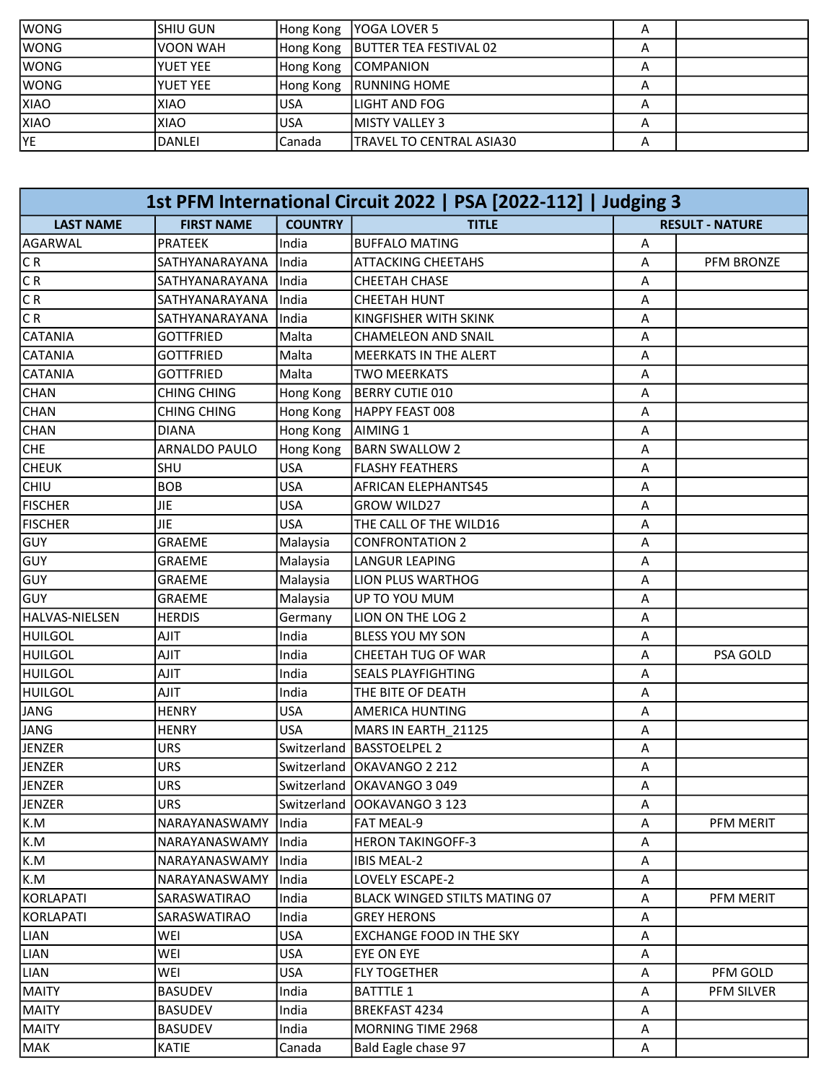| lwong       | ISHIU GUN   | Hong Kong | IYOGA LOVER 5                      |   |  |
|-------------|-------------|-----------|------------------------------------|---|--|
| lwong       | IVOON WAH   |           | Hong Kong   BUTTER TEA FESTIVAL 02 |   |  |
| lwong       | IYUET YEE   |           | Hong Kong   COMPANION              | n |  |
| lwong       | IYUET YEE   | Hong Kong | <b>IRUNNING HOME</b>               | А |  |
| <b>XIAO</b> | <b>XIAO</b> | USA       | llight and FOG                     |   |  |
| <b>XIAO</b> | <b>XIAO</b> | USA       | IMISTY VALLEY 3                    |   |  |
| YE          | DANLEI      | Canada    | ITRAVEL TO CENTRAL ASIA30          |   |  |

| 1st PFM International Circuit 2022   PSA [2022-112]   Judging 3 |                      |                |                                 |                        |            |
|-----------------------------------------------------------------|----------------------|----------------|---------------------------------|------------------------|------------|
| <b>LAST NAME</b>                                                | <b>FIRST NAME</b>    | <b>COUNTRY</b> | <b>TITLE</b>                    | <b>RESULT - NATURE</b> |            |
| AGARWAL                                                         | <b>PRATEEK</b>       | India          | <b>BUFFALO MATING</b>           | Α                      |            |
| CR                                                              | SATHYANARAYANA       | India          | <b>ATTACKING CHEETAHS</b>       | A                      | PFM BRONZE |
| C R                                                             | SATHYANARAYANA       | India          | CHEETAH CHASE                   | Α                      |            |
| $\overline{CR}$                                                 | SATHYANARAYANA       | India          | <b>CHEETAH HUNT</b>             | Α                      |            |
| $\overline{CR}$                                                 | SATHYANARAYANA       | India          | KINGFISHER WITH SKINK           | Α                      |            |
| <b>CATANIA</b>                                                  | <b>GOTTFRIED</b>     | Malta          | <b>CHAMELEON AND SNAIL</b>      | Α                      |            |
| <b>CATANIA</b>                                                  | <b>GOTTFRIED</b>     | Malta          | <b>MEERKATS IN THE ALERT</b>    | Α                      |            |
| <b>CATANIA</b>                                                  | <b>GOTTFRIED</b>     | Malta          | <b>TWO MEERKATS</b>             | Α                      |            |
| <b>CHAN</b>                                                     | <b>CHING CHING</b>   | Hong Kong      | BERRY CUTIE 010                 | Α                      |            |
| <b>CHAN</b>                                                     | <b>CHING CHING</b>   | Hong Kong      | HAPPY FEAST 008                 | Α                      |            |
| <b>CHAN</b>                                                     | <b>DIANA</b>         | Hong Kong      | AIMING 1                        | Α                      |            |
| <b>CHE</b>                                                      | <b>ARNALDO PAULO</b> | Hong Kong      | <b>BARN SWALLOW 2</b>           | Α                      |            |
| <b>CHEUK</b>                                                    | SHU                  | <b>USA</b>     | <b>FLASHY FEATHERS</b>          | Α                      |            |
| CHIU                                                            | <b>BOB</b>           | <b>USA</b>     | <b>AFRICAN ELEPHANTS45</b>      | Α                      |            |
| <b>FISCHER</b>                                                  | <b>JIE</b>           | <b>USA</b>     | <b>GROW WILD27</b>              | Α                      |            |
| <b>FISCHER</b>                                                  | <b>JIE</b>           | <b>USA</b>     | THE CALL OF THE WILD16          | Α                      |            |
| GUY                                                             | <b>GRAEME</b>        | Malaysia       | <b>CONFRONTATION 2</b>          | Α                      |            |
| GUY                                                             | <b>GRAEME</b>        | Malaysia       | <b>LANGUR LEAPING</b>           | Α                      |            |
| GUY                                                             | <b>GRAEME</b>        | Malaysia       | <b>LION PLUS WARTHOG</b>        | Α                      |            |
| GUY                                                             | <b>GRAEME</b>        | Malaysia       | UP TO YOU MUM                   | Α                      |            |
| HALVAS-NIELSEN                                                  | <b>HERDIS</b>        | Germany        | LION ON THE LOG 2               | Α                      |            |
| HUILGOL                                                         | <b>AJIT</b>          | India          | <b>BLESS YOU MY SON</b>         | Α                      |            |
| <b>HUILGOL</b>                                                  | <b>AJIT</b>          | India          | CHEETAH TUG OF WAR              | A                      | PSA GOLD   |
| <b>HUILGOL</b>                                                  | AJIT                 | India          | <b>SEALS PLAYFIGHTING</b>       | Α                      |            |
| <b>HUILGOL</b>                                                  | <b>AJIT</b>          | India          | THE BITE OF DEATH               | Α                      |            |
| JANG                                                            | <b>HENRY</b>         | <b>USA</b>     | <b>AMERICA HUNTING</b>          | Α                      |            |
| <b>JANG</b>                                                     | <b>HENRY</b>         | <b>USA</b>     | MARS IN EARTH_21125             | Α                      |            |
| <b>JENZER</b>                                                   | <b>URS</b>           |                | Switzerland   BASSTOELPEL 2     | Α                      |            |
| JENZER                                                          | <b>URS</b>           |                | Switzerland   OKAVANGO 2 212    | Α                      |            |
| JENZER                                                          | <b>URS</b>           |                | Switzerland   OKAVANGO 3 049    | Α                      |            |
| <b>JENZER</b>                                                   | <b>URS</b>           |                | Switzerland   OOKAVANGO 3 123   | A                      |            |
| K.M                                                             | <b>NARAYANASWAMY</b> | <b>I</b> ndia  | <b>FAT MEAL-9</b>               | A                      | PFM MERIT  |
| k.M                                                             | <b>NARAYANASWAMY</b> | India          | <b>HERON TAKINGOFF-3</b>        | A                      |            |
| k.M                                                             | NARAYANASWAMY        | India          | <b>IBIS MEAL-2</b>              | A                      |            |
| K.M                                                             | NARAYANASWAMY        | India          | LOVELY ESCAPE-2                 | Α                      |            |
| KORLAPATI                                                       | SARASWATIRAO         | India          | BLACK WINGED STILTS MATING 07   | A                      | PFM MERIT  |
| KORLAPATI                                                       | SARASWATIRAO         | India          | <b>GREY HERONS</b>              | A                      |            |
| LIAN                                                            | WEI                  | <b>USA</b>     | <b>EXCHANGE FOOD IN THE SKY</b> | Α                      |            |
| LIAN                                                            | WEI                  | <b>USA</b>     | <b>EYE ON EYE</b>               | Α                      |            |
| LIAN                                                            | WEI                  | <b>USA</b>     | <b>FLY TOGETHER</b>             | Α                      | PFM GOLD   |
| <b>MAITY</b>                                                    | <b>BASUDEV</b>       | India          | <b>BATTTLE 1</b>                | A                      | PFM SILVER |
| <b>MAITY</b>                                                    | BASUDEV              | India          | BREKFAST 4234                   | Α                      |            |
| MAITY                                                           | <b>BASUDEV</b>       | India          | MORNING TIME 2968               | Α                      |            |
| MAK                                                             | <b>KATIE</b>         | Canada         | Bald Eagle chase 97             | A                      |            |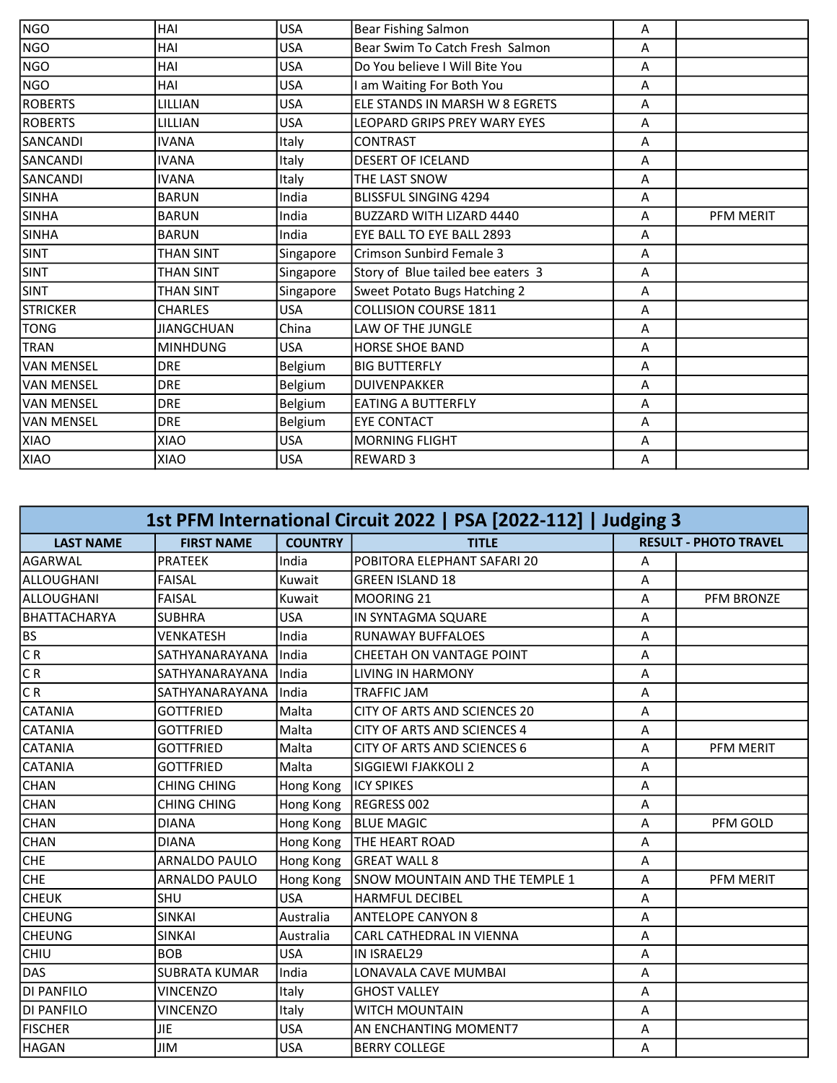| <b>NGO</b>        | HAI               | <b>USA</b> | <b>Bear Fishing Salmon</b>        | A |           |
|-------------------|-------------------|------------|-----------------------------------|---|-----------|
| <b>NGO</b>        | HAI               | <b>USA</b> | Bear Swim To Catch Fresh Salmon   | A |           |
| <b>NGO</b>        | HAI               | <b>USA</b> | Do You believe I Will Bite You    | A |           |
| NGO               | HAI               | <b>USA</b> | I am Waiting For Both You         | A |           |
| <b>ROBERTS</b>    | LILLIAN           | <b>USA</b> | ELE STANDS IN MARSH W 8 EGRETS    | Α |           |
| <b>ROBERTS</b>    | LILLIAN           | <b>USA</b> | LEOPARD GRIPS PREY WARY EYES      | A |           |
| <b>SANCANDI</b>   | <b>IVANA</b>      | Italy      | <b>CONTRAST</b>                   | Α |           |
| <b>SANCANDI</b>   | <b>IVANA</b>      | Italy      | <b>DESERT OF ICELAND</b>          | A |           |
| <b>SANCANDI</b>   | <b>IVANA</b>      | Italy      | THE LAST SNOW                     | A |           |
| <b>SINHA</b>      | <b>BARUN</b>      | India      | <b>BLISSFUL SINGING 4294</b>      | A |           |
| <b>SINHA</b>      | <b>BARUN</b>      | India      | <b>BUZZARD WITH LIZARD 4440</b>   | A | PFM MERIT |
| <b>SINHA</b>      | <b>BARUN</b>      | India      | EYE BALL TO EYE BALL 2893         | Α |           |
| <b>SINT</b>       | THAN SINT         | Singapore  | Crimson Sunbird Female 3          | A |           |
| <b>SINT</b>       | THAN SINT         | Singapore  | Story of Blue tailed bee eaters 3 | Α |           |
| <b>SINT</b>       | THAN SINT         | Singapore  | Sweet Potato Bugs Hatching 2      | A |           |
| <b>STRICKER</b>   | <b>CHARLES</b>    | <b>USA</b> | <b>COLLISION COURSE 1811</b>      | A |           |
| TONG              | <b>JIANGCHUAN</b> | China      | LAW OF THE JUNGLE                 | A |           |
| <b>TRAN</b>       | <b>MINHDUNG</b>   | <b>USA</b> | <b>HORSE SHOE BAND</b>            | A |           |
| VAN MENSEL        | <b>DRE</b>        | Belgium    | <b>BIG BUTTERFLY</b>              | A |           |
| VAN MENSEL        | <b>DRE</b>        | Belgium    | <b>DUIVENPAKKER</b>               | A |           |
| <b>VAN MENSEL</b> | <b>DRE</b>        | Belgium    | <b>EATING A BUTTERFLY</b>         | A |           |
| <b>VAN MENSEL</b> | <b>DRE</b>        | Belgium    | <b>EYE CONTACT</b>                | A |           |
| XIAO              | <b>XIAO</b>       | <b>USA</b> | <b>MORNING FLIGHT</b>             | A |           |
| XIAO              | XIAO              | <b>USA</b> | <b>REWARD 3</b>                   | A |           |

| 1st PFM International Circuit 2022   PSA [2022-112]   Judging 3 |                      |                |                                     |   |                              |  |
|-----------------------------------------------------------------|----------------------|----------------|-------------------------------------|---|------------------------------|--|
| <b>LAST NAME</b>                                                | <b>FIRST NAME</b>    | <b>COUNTRY</b> | <b>TITLE</b>                        |   | <b>RESULT - PHOTO TRAVEL</b> |  |
| <b>AGARWAL</b>                                                  | <b>PRATEEK</b>       | India          | POBITORA ELEPHANT SAFARI 20         | Α |                              |  |
| ALLOUGHANI                                                      | <b>FAISAL</b>        | Kuwait         | <b>GREEN ISLAND 18</b>              | A |                              |  |
| ALLOUGHANI                                                      | <b>FAISAL</b>        | Kuwait         | MOORING 21                          | A | <b>PFM BRONZE</b>            |  |
| BHATTACHARYA                                                    | <b>SUBHRA</b>        | <b>USA</b>     | IN SYNTAGMA SQUARE                  | Α |                              |  |
| BS                                                              | <b>VENKATESH</b>     | India          | <b>RUNAWAY BUFFALOES</b>            | Α |                              |  |
| CR                                                              | SATHYANARAYANA       | India          | CHEETAH ON VANTAGE POINT            | Α |                              |  |
| $\overline{CR}$                                                 | SATHYANARAYANA       | India          | <b>LIVING IN HARMONY</b>            | A |                              |  |
| $\overline{CR}$                                                 | SATHYANARAYANA       | India          | <b>TRAFFIC JAM</b>                  | Α |                              |  |
| CATANIA                                                         | <b>GOTTFRIED</b>     | Malta          | <b>CITY OF ARTS AND SCIENCES 20</b> | A |                              |  |
| ICATANIA                                                        | <b>GOTTFRIED</b>     | Malta          | <b>CITY OF ARTS AND SCIENCES 4</b>  | Α |                              |  |
| <b>CATANIA</b>                                                  | <b>GOTTFRIED</b>     | Malta          | <b>CITY OF ARTS AND SCIENCES 6</b>  | A | PFM MERIT                    |  |
| <b>CATANIA</b>                                                  | <b>GOTTFRIED</b>     | Malta          | SIGGIEWI FJAKKOLI 2                 | A |                              |  |
| <b>CHAN</b>                                                     | <b>CHING CHING</b>   | Hong Kong      | <b>IICY SPIKES</b>                  | A |                              |  |
| <b>CHAN</b>                                                     | <b>CHING CHING</b>   | Hong Kong      | REGRESS 002                         | A |                              |  |
| <b>CHAN</b>                                                     | <b>DIANA</b>         | Hong Kong      | <b>BLUE MAGIC</b>                   | Α | PFM GOLD                     |  |
| <b>CHAN</b>                                                     | <b>DIANA</b>         | Hong Kong      | <b>THE HEART ROAD</b>               | A |                              |  |
| <b>CHE</b>                                                      | ARNALDO PAULO        | Hong Kong      | <b>GREAT WALL 8</b>                 | Α |                              |  |
| <b>CHE</b>                                                      | ARNALDO PAULO        | Hong Kong      | SNOW MOUNTAIN AND THE TEMPLE 1      | A | PFM MERIT                    |  |
| СНЕИК                                                           | SHU                  | <b>USA</b>     | <b>HARMFUL DECIBEL</b>              | Α |                              |  |
| <b>CHEUNG</b>                                                   | <b>SINKAI</b>        | Australia      | <b>ANTELOPE CANYON 8</b>            | A |                              |  |
| <b>CHEUNG</b>                                                   | <b>SINKAI</b>        | Australia      | CARL CATHEDRAL IN VIENNA            | A |                              |  |
| CHIU                                                            | <b>BOB</b>           | <b>USA</b>     | <b>IN ISRAEL29</b>                  | A |                              |  |
| DAS                                                             | <b>SUBRATA KUMAR</b> | India          | LONAVALA CAVE MUMBAI                | A |                              |  |
| <b>DI PANFILO</b>                                               | <b>VINCENZO</b>      | Italy          | <b>GHOST VALLEY</b>                 | Α |                              |  |
| DI PANFILO                                                      | <b>VINCENZO</b>      | Italy          | <b>WITCH MOUNTAIN</b>               | A |                              |  |
| <b>FISCHER</b>                                                  | <b>JIE</b>           | <b>USA</b>     | AN ENCHANTING MOMENT7               | Α |                              |  |
| HAGAN                                                           | <b>JIM</b>           | <b>USA</b>     | <b>BERRY COLLEGE</b>                | A |                              |  |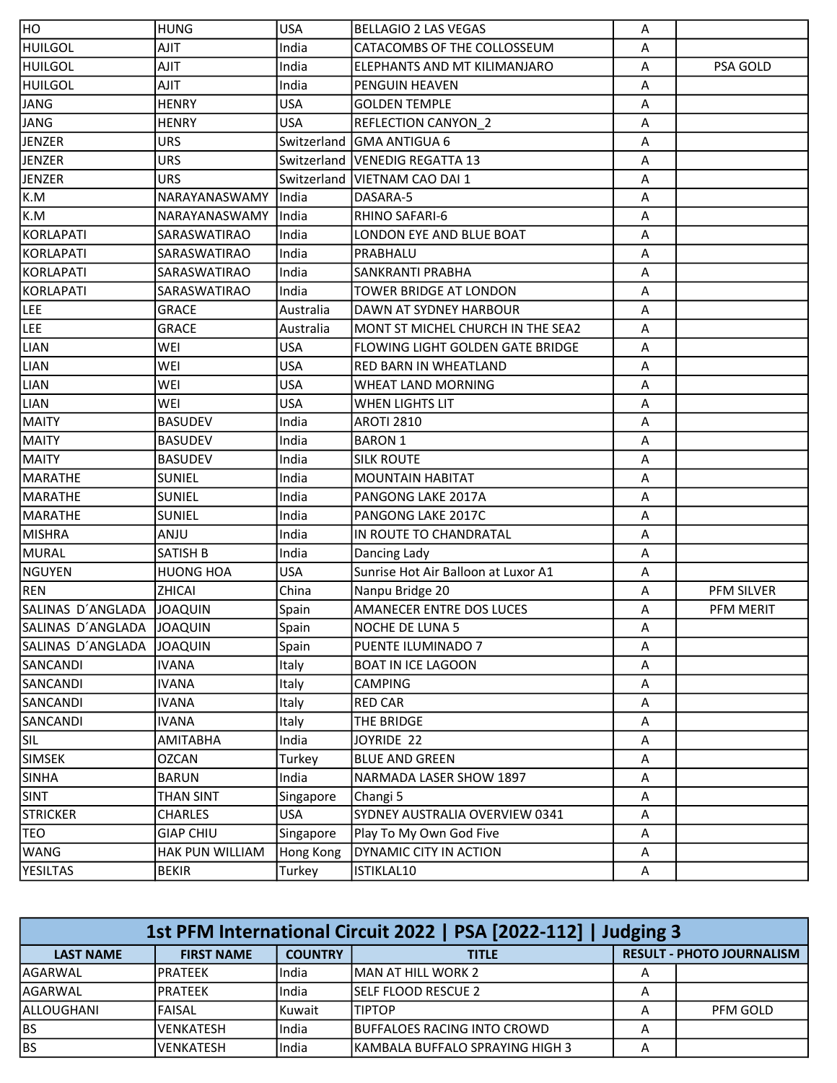| HO                | <b>HUNG</b>      | <b>USA</b> | <b>BELLAGIO 2 LAS VEGAS</b>         | A |            |
|-------------------|------------------|------------|-------------------------------------|---|------------|
| <b>HUILGOL</b>    | <b>AJIT</b>      | India      | CATACOMBS OF THE COLLOSSEUM         | A |            |
| <b>HUILGOL</b>    | <b>AJIT</b>      | India      | ELEPHANTS AND MT KILIMANJARO        | A | PSA GOLD   |
| <b>HUILGOL</b>    | AJIT             | India      | PENGUIN HEAVEN                      | Α |            |
| JANG              | <b>HENRY</b>     | <b>USA</b> | <b>GOLDEN TEMPLE</b>                | Α |            |
| JANG              | <b>HENRY</b>     | <b>USA</b> | REFLECTION CANYON_2                 | Α |            |
| <b>JENZER</b>     | <b>URS</b>       |            | Switzerland GMA ANTIGUA 6           | Α |            |
| JENZER            | <b>URS</b>       |            | Switzerland   VENEDIG REGATTA 13    | Α |            |
| JENZER            | <b>URS</b>       |            | Switzerland   VIETNAM CAO DAI 1     | Α |            |
| K.M               | NARAYANASWAMY    | India      | DASARA-5                            | Α |            |
| K.M               | NARAYANASWAMY    | India      | RHINO SAFARI-6                      | Α |            |
| KORLAPATI         | SARASWATIRAO     | India      | LONDON EYE AND BLUE BOAT            | Α |            |
| KORLAPATI         | SARASWATIRAO     | India      | PRABHALU                            | Α |            |
| KORLAPATI         | SARASWATIRAO     | India      | <b>SANKRANTI PRABHA</b>             | A |            |
| KORLAPATI         | SARASWATIRAO     | India      | TOWER BRIDGE AT LONDON              | A |            |
| LEE               | <b>GRACE</b>     | Australia  | DAWN AT SYDNEY HARBOUR              | A |            |
| LEE               | <b>GRACE</b>     | Australia  | MONT ST MICHEL CHURCH IN THE SEA2   | A |            |
| <b>LIAN</b>       | WEI              | <b>USA</b> | FLOWING LIGHT GOLDEN GATE BRIDGE    | A |            |
| <b>LIAN</b>       | WEI              | <b>USA</b> | RED BARN IN WHEATLAND               | Α |            |
| <b>LIAN</b>       | WEI              | <b>USA</b> | WHEAT LAND MORNING                  | Α |            |
| <b>LIAN</b>       | WEI              | <b>USA</b> | <b>WHEN LIGHTS LIT</b>              | A |            |
| <b>MAITY</b>      | <b>BASUDEV</b>   | India      | <b>AROTI 2810</b>                   | A |            |
| <b>MAITY</b>      | <b>BASUDEV</b>   | India      | <b>BARON 1</b>                      | A |            |
| MAITY             | <b>BASUDEV</b>   | India      | <b>SILK ROUTE</b>                   | A |            |
| MARATHE           | <b>SUNIEL</b>    | India      | <b>MOUNTAIN HABITAT</b>             | A |            |
| MARATHE           | <b>SUNIEL</b>    | India      | PANGONG LAKE 2017A                  | Α |            |
| MARATHE           | <b>SUNIEL</b>    | India      | PANGONG LAKE 2017C                  | Α |            |
| <b>MISHRA</b>     | <b>ANJU</b>      | India      | IN ROUTE TO CHANDRATAL              | Α |            |
| MURAL             | SATISH B         | India      | Dancing Lady                        | Α |            |
| <b>NGUYEN</b>     | <b>HUONG HOA</b> | <b>USA</b> | Sunrise Hot Air Balloon at Luxor A1 | Α |            |
| REN               | ZHICAI           | China      | Nanpu Bridge 20                     | Α | PFM SILVER |
| SALINAS D'ANGLADA | <b>JOAQUIN</b>   | Spain      | AMANECER ENTRE DOS LUCES            | Α | PFM MERIT  |
| SALINAS D'ANGLADA | <b>JOAQUIN</b>   | Spain      | NOCHE DE LUNA 5                     | A |            |
| SALINAS D'ANGLADA | <b>JOAQUIN</b>   | Spain      | PUENTE ILUMINADO 7                  | Α |            |
| SANCANDI          | <b>IVANA</b>     | Italy      | <b>BOAT IN ICE LAGOON</b>           | A |            |
| SANCANDI          | <b>IVANA</b>     | Italy      | CAMPING                             | A |            |
| SANCANDI          | <b>IVANA</b>     | Italy      | <b>RED CAR</b>                      | Α |            |
| SANCANDI          | <b>IVANA</b>     | Italy      | THE BRIDGE                          | A |            |
| <b>SIL</b>        | <b>AMITABHA</b>  | India      | JOYRIDE 22                          | A |            |
| <b>SIMSEK</b>     | OZCAN            | Turkey     | <b>BLUE AND GREEN</b>               | Α |            |
| <b>SINHA</b>      | <b>BARUN</b>     | India      | NARMADA LASER SHOW 1897             | A |            |
| <b>SINT</b>       | THAN SINT        | Singapore  | Changi 5                            | A |            |
| <b>STRICKER</b>   | CHARLES          | <b>USA</b> | SYDNEY AUSTRALIA OVERVIEW 0341      | A |            |
| <b>TEO</b>        | <b>GIAP CHIU</b> | Singapore  | Play To My Own God Five             | Α |            |
| <b>WANG</b>       | HAK PUN WILLIAM  | Hong Kong  | DYNAMIC CITY IN ACTION              | A |            |
| <b>YESILTAS</b>   | <b>BEKIR</b>     | Turkey     | ISTIKLAL10                          | Α |            |

| 1st PFM International Circuit 2022   PSA [2022-112]   Judging 3 |                   |                |                                    |                                  |          |  |  |
|-----------------------------------------------------------------|-------------------|----------------|------------------------------------|----------------------------------|----------|--|--|
| <b>LAST NAME</b>                                                | <b>FIRST NAME</b> | <b>COUNTRY</b> | <b>TITLE</b>                       | <b>RESULT - PHOTO JOURNALISM</b> |          |  |  |
| lAGARWAL                                                        | IPRATEEK          | India          | IMAN AT HILL WORK 2                | A                                |          |  |  |
| lAGARWAL                                                        | IPRATEEK          | India          | <b>ISELF FLOOD RESCUE 2</b>        | А                                |          |  |  |
| lALLOUGHANI                                                     | <b>FAISAL</b>     | Kuwait         | <b>ITIPTOP</b>                     |                                  | PFM GOLD |  |  |
| <b>BS</b>                                                       | <b>VENKATESH</b>  | India          | <b>BUFFALOES RACING INTO CROWD</b> | А                                |          |  |  |
| <b>BS</b>                                                       | <b>VENKATESH</b>  | India          | IKAMBALA BUFFALO SPRAYING HIGH 3   | А                                |          |  |  |